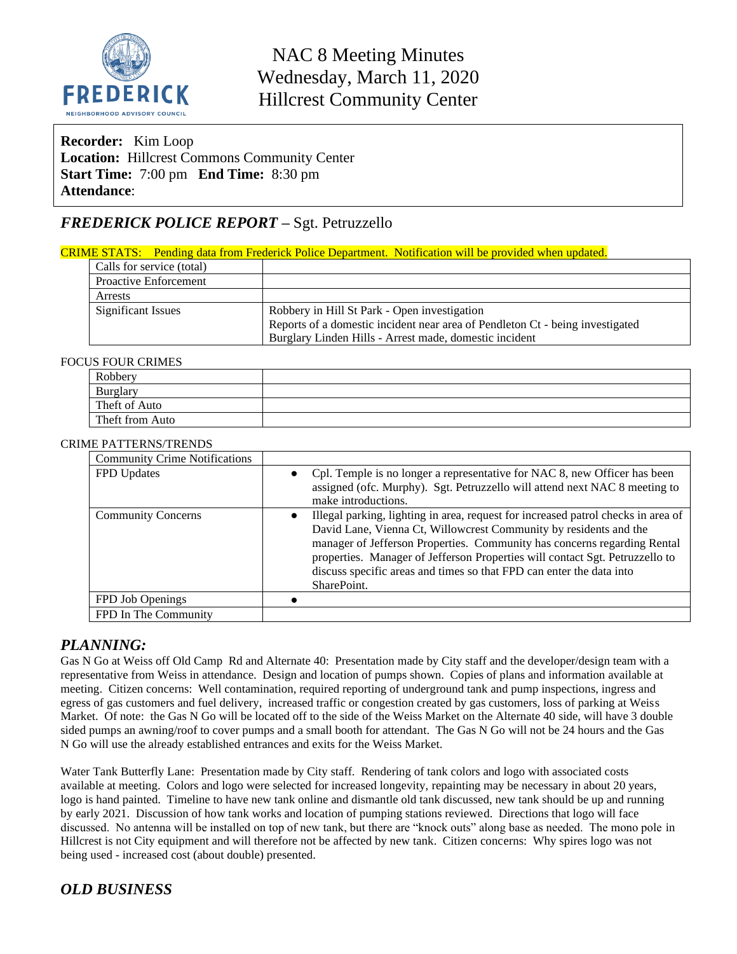

### **Recorder:** Kim Loop **Location:** Hillcrest Commons Community Center **Start Time:** 7:00 pm **End Time:** 8:30 pm **Attendance**:

## *FREDERICK POLICE REPORT –* Sgt. Petruzzello

#### CRIME STATS: Pending data from Frederick Police Department. Notification will be provided when updated.

| Calls for service (total)    |                                                                               |  |
|------------------------------|-------------------------------------------------------------------------------|--|
| <b>Proactive Enforcement</b> |                                                                               |  |
| Arrests                      |                                                                               |  |
| <b>Significant Issues</b>    | Robbery in Hill St Park - Open investigation                                  |  |
|                              | Reports of a domestic incident near area of Pendleton Ct - being investigated |  |
|                              | Burglary Linden Hills - Arrest made, domestic incident                        |  |

#### FOCUS FOUR CRIMES

| --------------------- |  |
|-----------------------|--|
| Robbery               |  |
| Burglary              |  |
| Theft of Auto         |  |
| Theft from Auto       |  |
|                       |  |

#### CRIME PATTERNS/TRENDS

| <b>Community Crime Notifications</b> |                                                                                                                                                                                                                                                                                                                                                                                                           |
|--------------------------------------|-----------------------------------------------------------------------------------------------------------------------------------------------------------------------------------------------------------------------------------------------------------------------------------------------------------------------------------------------------------------------------------------------------------|
| FPD Updates                          | Cpl. Temple is no longer a representative for NAC 8, new Officer has been<br>$\bullet$<br>assigned (ofc. Murphy). Sgt. Petruzzello will attend next NAC 8 meeting to<br>make introductions.                                                                                                                                                                                                               |
| <b>Community Concerns</b>            | Illegal parking, lighting in area, request for increased patrol checks in area of<br>David Lane, Vienna Ct, Willowcrest Community by residents and the<br>manager of Jefferson Properties. Community has concerns regarding Rental<br>properties. Manager of Jefferson Properties will contact Sgt. Petruzzello to<br>discuss specific areas and times so that FPD can enter the data into<br>SharePoint. |
| FPD Job Openings                     |                                                                                                                                                                                                                                                                                                                                                                                                           |
| FPD In The Community                 |                                                                                                                                                                                                                                                                                                                                                                                                           |

#### *PLANNING:*

Gas N Go at Weiss off Old Camp Rd and Alternate 40: Presentation made by City staff and the developer/design team with a representative from Weiss in attendance. Design and location of pumps shown. Copies of plans and information available at meeting. Citizen concerns: Well contamination, required reporting of underground tank and pump inspections, ingress and egress of gas customers and fuel delivery, increased traffic or congestion created by gas customers, loss of parking at Weiss Market. Of note: the Gas N Go will be located off to the side of the Weiss Market on the Alternate 40 side, will have 3 double sided pumps an awning/roof to cover pumps and a small booth for attendant. The Gas N Go will not be 24 hours and the Gas N Go will use the already established entrances and exits for the Weiss Market.

Water Tank Butterfly Lane: Presentation made by City staff. Rendering of tank colors and logo with associated costs available at meeting. Colors and logo were selected for increased longevity, repainting may be necessary in about 20 years, logo is hand painted. Timeline to have new tank online and dismantle old tank discussed, new tank should be up and running by early 2021. Discussion of how tank works and location of pumping stations reviewed. Directions that logo will face discussed. No antenna will be installed on top of new tank, but there are "knock outs" along base as needed. The mono pole in Hillcrest is not City equipment and will therefore not be affected by new tank. Citizen concerns: Why spires logo was not being used - increased cost (about double) presented.

### *OLD BUSINESS*